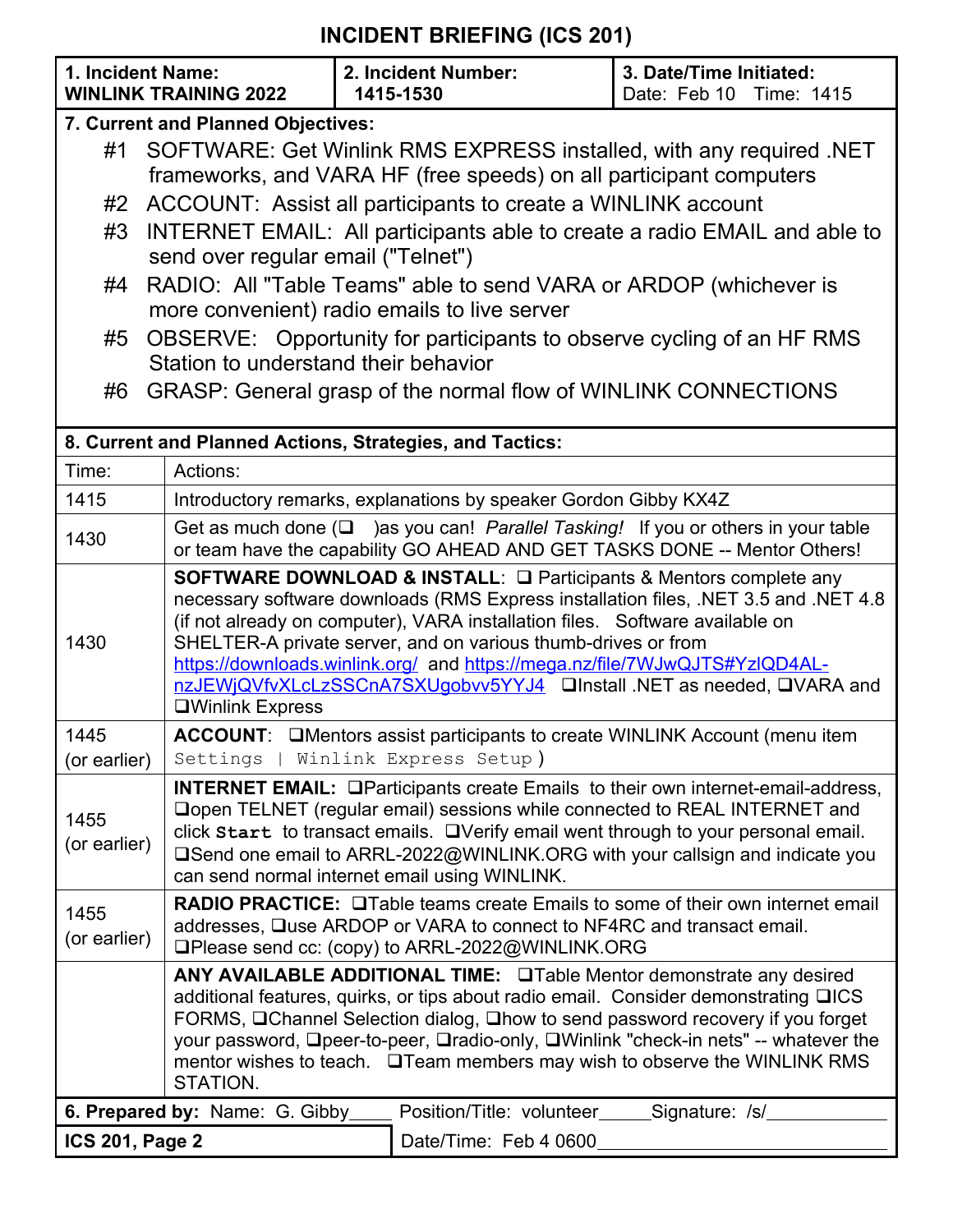## **INCIDENT BRIEFING (ICS 201)**

| 1. Incident Name:                                                    | <b>WINLINK TRAINING 2022</b>                                                                                                                                                                                                                                                                                                                                                                  | 2. Incident Number:<br>1415-1530                                                                                                                                                                                    | 3. Date/Time Initiated:<br>Date: Feb 10 Time: 1415                                                                                                                                                                                                                                                                                                                                                                                                                  |  |  |  |  |  |  |  |
|----------------------------------------------------------------------|-----------------------------------------------------------------------------------------------------------------------------------------------------------------------------------------------------------------------------------------------------------------------------------------------------------------------------------------------------------------------------------------------|---------------------------------------------------------------------------------------------------------------------------------------------------------------------------------------------------------------------|---------------------------------------------------------------------------------------------------------------------------------------------------------------------------------------------------------------------------------------------------------------------------------------------------------------------------------------------------------------------------------------------------------------------------------------------------------------------|--|--|--|--|--|--|--|
|                                                                      | 7. Current and Planned Objectives:                                                                                                                                                                                                                                                                                                                                                            |                                                                                                                                                                                                                     |                                                                                                                                                                                                                                                                                                                                                                                                                                                                     |  |  |  |  |  |  |  |
| #1                                                                   | SOFTWARE: Get Winlink RMS EXPRESS installed, with any required .NET<br>frameworks, and VARA HF (free speeds) on all participant computers                                                                                                                                                                                                                                                     |                                                                                                                                                                                                                     |                                                                                                                                                                                                                                                                                                                                                                                                                                                                     |  |  |  |  |  |  |  |
| #2                                                                   | ACCOUNT: Assist all participants to create a WINLINK account                                                                                                                                                                                                                                                                                                                                  |                                                                                                                                                                                                                     |                                                                                                                                                                                                                                                                                                                                                                                                                                                                     |  |  |  |  |  |  |  |
| #3                                                                   | INTERNET EMAIL: All participants able to create a radio EMAIL and able to<br>send over regular email ("Telnet")                                                                                                                                                                                                                                                                               |                                                                                                                                                                                                                     |                                                                                                                                                                                                                                                                                                                                                                                                                                                                     |  |  |  |  |  |  |  |
| #4                                                                   | RADIO: All "Table Teams" able to send VARA or ARDOP (whichever is<br>more convenient) radio emails to live server                                                                                                                                                                                                                                                                             |                                                                                                                                                                                                                     |                                                                                                                                                                                                                                                                                                                                                                                                                                                                     |  |  |  |  |  |  |  |
| #5                                                                   | OBSERVE: Opportunity for participants to observe cycling of an HF RMS<br>Station to understand their behavior                                                                                                                                                                                                                                                                                 |                                                                                                                                                                                                                     |                                                                                                                                                                                                                                                                                                                                                                                                                                                                     |  |  |  |  |  |  |  |
| GRASP: General grasp of the normal flow of WINLINK CONNECTIONS<br>#6 |                                                                                                                                                                                                                                                                                                                                                                                               |                                                                                                                                                                                                                     |                                                                                                                                                                                                                                                                                                                                                                                                                                                                     |  |  |  |  |  |  |  |
|                                                                      |                                                                                                                                                                                                                                                                                                                                                                                               | 8. Current and Planned Actions, Strategies, and Tactics:                                                                                                                                                            |                                                                                                                                                                                                                                                                                                                                                                                                                                                                     |  |  |  |  |  |  |  |
| Time:                                                                | Actions:                                                                                                                                                                                                                                                                                                                                                                                      |                                                                                                                                                                                                                     |                                                                                                                                                                                                                                                                                                                                                                                                                                                                     |  |  |  |  |  |  |  |
| 1415                                                                 | Introductory remarks, explanations by speaker Gordon Gibby KX4Z                                                                                                                                                                                                                                                                                                                               |                                                                                                                                                                                                                     |                                                                                                                                                                                                                                                                                                                                                                                                                                                                     |  |  |  |  |  |  |  |
| 1430                                                                 | Get as much done $(\square$ ) as you can! Parallel Tasking! If you or others in your table<br>or team have the capability GO AHEAD AND GET TASKS DONE -- Mentor Others!                                                                                                                                                                                                                       |                                                                                                                                                                                                                     |                                                                                                                                                                                                                                                                                                                                                                                                                                                                     |  |  |  |  |  |  |  |
| 1430                                                                 | <b>QWinlink Express</b>                                                                                                                                                                                                                                                                                                                                                                       |                                                                                                                                                                                                                     | SOFTWARE DOWNLOAD & INSTALL: □ Participants & Mentors complete any<br>necessary software downloads (RMS Express installation files, .NET 3.5 and .NET 4.8<br>(if not already on computer), VARA installation files.  Software available on<br>SHELTER-A private server, and on various thumb-drives or from<br>https://downloads.winlink.org/ and https://mega.nz/file/7WJwQJTS#YzIQD4AL-<br>nzJEWjQVfvXLcLzSSCnA7SXUgobvv5YYJ4  □Install .NET as needed, □VARA and |  |  |  |  |  |  |  |
| 1445<br>(or earlier)                                                 |                                                                                                                                                                                                                                                                                                                                                                                               | ACCOUNT: □ Mentors assist participants to create WINLINK Account (menu item<br>Settings   Winlink Express Setup)                                                                                                    |                                                                                                                                                                                                                                                                                                                                                                                                                                                                     |  |  |  |  |  |  |  |
| 1455<br>(or earlier)                                                 | <b>INTERNET EMAIL:</b> OParticipants create Emails to their own internet-email-address,<br>□ open TELNET (regular email) sessions while connected to REAL INTERNET and<br>click start to transact emails. OVerify email went through to your personal email.<br>□Send one email to ARRL-2022@WINLINK.ORG with your callsign and indicate you<br>can send normal internet email using WINLINK. |                                                                                                                                                                                                                     |                                                                                                                                                                                                                                                                                                                                                                                                                                                                     |  |  |  |  |  |  |  |
| 1455<br>(or earlier)                                                 |                                                                                                                                                                                                                                                                                                                                                                                               | <b>RADIO PRACTICE:</b> Onlable teams create Emails to some of their own internet email<br>addresses, Quse ARDOP or VARA to connect to NF4RC and transact email.<br>□Please send cc: (copy) to ARRL-2022@WINLINK.ORG |                                                                                                                                                                                                                                                                                                                                                                                                                                                                     |  |  |  |  |  |  |  |
|                                                                      | ANY AVAILABLE ADDITIONAL TIME: OTable Mentor demonstrate any desired                                                                                                                                                                                                                                                                                                                          |                                                                                                                                                                                                                     |                                                                                                                                                                                                                                                                                                                                                                                                                                                                     |  |  |  |  |  |  |  |
|                                                                      | additional features, quirks, or tips about radio email. Consider demonstrating QICS<br>FORMS, □Channel Selection dialog, □how to send password recovery if you forget                                                                                                                                                                                                                         |                                                                                                                                                                                                                     |                                                                                                                                                                                                                                                                                                                                                                                                                                                                     |  |  |  |  |  |  |  |
|                                                                      | your password, □peer-to-peer, □radio-only, □Winlink "check-in nets" -- whatever the<br>mentor wishes to teach. □ Team members may wish to observe the WINLINK RMS<br>STATION.                                                                                                                                                                                                                 |                                                                                                                                                                                                                     |                                                                                                                                                                                                                                                                                                                                                                                                                                                                     |  |  |  |  |  |  |  |
|                                                                      | 6. Prepared by: Name: G. Gibby_                                                                                                                                                                                                                                                                                                                                                               | Position/Title: volunteer                                                                                                                                                                                           | _Signature: /s/_                                                                                                                                                                                                                                                                                                                                                                                                                                                    |  |  |  |  |  |  |  |
| <b>ICS 201, Page 2</b>                                               |                                                                                                                                                                                                                                                                                                                                                                                               | Date/Time: Feb 4 0600                                                                                                                                                                                               |                                                                                                                                                                                                                                                                                                                                                                                                                                                                     |  |  |  |  |  |  |  |